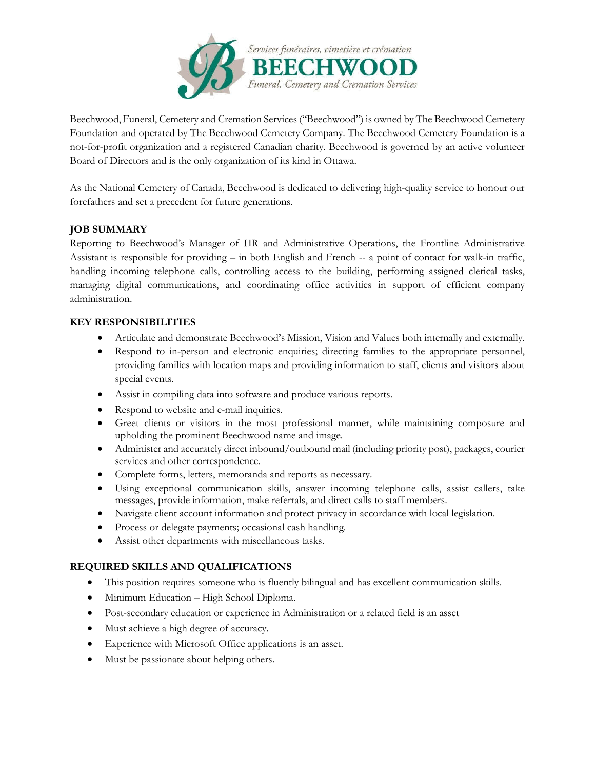

Beechwood, Funeral, Cemetery and Cremation Services ("Beechwood") is owned by The Beechwood Cemetery Foundation and operated by The Beechwood Cemetery Company. The Beechwood Cemetery Foundation is a not-for-profit organization and a registered Canadian charity. Beechwood is governed by an active volunteer Board of Directors and is the only organization of its kind in Ottawa.

As the National Cemetery of Canada, Beechwood is dedicated to delivering high-quality service to honour our forefathers and set a precedent for future generations.

## **JOB SUMMARY**

Reporting to Beechwood's Manager of HR and Administrative Operations, the Frontline Administrative Assistant is responsible for providing – in both English and French -- a point of contact for walk-in traffic, handling incoming telephone calls, controlling access to the building, performing assigned clerical tasks, managing digital communications, and coordinating office activities in support of efficient company administration.

## **KEY RESPONSIBILITIES**

- Articulate and demonstrate Beechwood's Mission, Vision and Values both internally and externally.
- Respond to in-person and electronic enquiries; directing families to the appropriate personnel, providing families with location maps and providing information to staff, clients and visitors about special events.
- Assist in compiling data into software and produce various reports.
- Respond to website and e-mail inquiries.
- Greet clients or visitors in the most professional manner, while maintaining composure and upholding the prominent Beechwood name and image.
- Administer and accurately direct inbound/outbound mail (including priority post), packages, courier services and other correspondence.
- Complete forms, letters, memoranda and reports as necessary.
- Using exceptional communication skills, answer incoming telephone calls, assist callers, take messages, provide information, make referrals, and direct calls to staff members.
- Navigate client account information and protect privacy in accordance with local legislation.
- Process or delegate payments; occasional cash handling.
- Assist other departments with miscellaneous tasks.

## **REQUIRED SKILLS AND QUALIFICATIONS**

- This position requires someone who is fluently bilingual and has excellent communication skills.
- Minimum Education High School Diploma.
- Post-secondary education or experience in Administration or a related field is an asset
- Must achieve a high degree of accuracy.
- Experience with Microsoft Office applications is an asset.
- Must be passionate about helping others.